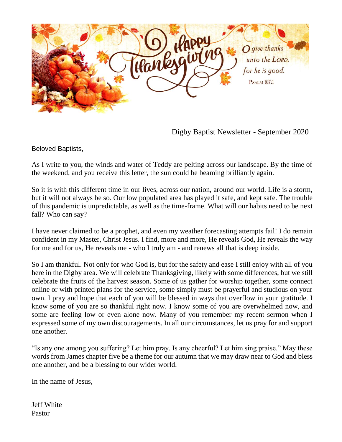

Digby Baptist Newsletter - September 2020

Beloved Baptists,

As I write to you, the winds and water of Teddy are pelting across our landscape. By the time of the weekend, and you receive this letter, the sun could be beaming brilliantly again.

So it is with this different time in our lives, across our nation, around our world. Life is a storm, but it will not always be so. Our low populated area has played it safe, and kept safe. The trouble of this pandemic is unpredictable, as well as the time-frame. What will our habits need to be next fall? Who can say?

I have never claimed to be a prophet, and even my weather forecasting attempts fail! I do remain confident in my Master, Christ Jesus. I find, more and more, He reveals God, He reveals the way for me and for us, He reveals me - who I truly am - and renews all that is deep inside.

So I am thankful. Not only for who God is, but for the safety and ease I still enjoy with all of you here in the Digby area. We will celebrate Thanksgiving, likely with some differences, but we still celebrate the fruits of the harvest season. Some of us gather for worship together, some connect online or with printed plans for the service, some simply must be prayerful and studious on your own. I pray and hope that each of you will be blessed in ways that overflow in your gratitude. I know some of you are so thankful right now. I know some of you are overwhelmed now, and some are feeling low or even alone now. Many of you remember my recent sermon when I expressed some of my own discouragements. In all our circumstances, let us pray for and support one another.

"Is any one among you suffering? Let him pray. Is any cheerful? Let him sing praise." May these words from James chapter five be a theme for our autumn that we may draw near to God and bless one another, and be a blessing to our wider world.

In the name of Jesus,

Jeff White Pastor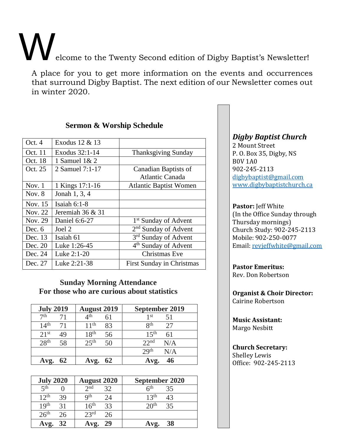Welcome to the Twenty Second edition of Digby Baptist's Newsletter!

A place for you to get more information on the events and occurrences that surround Digby Baptist. The next edition of our Newsletter comes out in winter 2020.

| Oct. 4   | Exodus 12 & 13   |                                  |
|----------|------------------|----------------------------------|
| Oct. 11  | Exodus 32:1-14   | <b>Thanksgiving Sunday</b>       |
| Oct. 18  | 1 Samuel $1 & 2$ |                                  |
| Oct. 25  | 2 Samuel 7:1-17  | Canadian Baptists of             |
|          |                  | <b>Atlantic Canada</b>           |
| Nov. $1$ | 1 Kings 17:1-16  | <b>Atlantic Baptist Women</b>    |
| Nov. $8$ | Jonah 1, 3, 4    |                                  |
| Nov. 15  | Isaiah $6:1-8$   |                                  |
| Nov. 22  | Jeremiah 36 & 31 |                                  |
| Nov. 29  | Daniel 6:6-27    | 1 <sup>st</sup> Sunday of Advent |
| Dec. $6$ | Joel 2           | $2nd$ Sunday of Advent           |
| Dec. 13  | Isaiah 61        | 3 <sup>rd</sup> Sunday of Advent |
| Dec. 20  | Luke 1:26-45     | 4 <sup>th</sup> Sunday of Advent |
| Dec. 24  | Luke 2:1-20      | Christmas Eve                    |
| Dec. 27  | Luke 2:21-38     | <b>First Sunday in Christmas</b> |

# **Sermon & Worship Schedule**

### **Sunday Morning Attendance For those who are curious about statistics**

| <b>July 2019</b>       | <b>August 2019</b>     | September 2019            |
|------------------------|------------------------|---------------------------|
| 7th<br>71              | $4^{\text{th}}$        | 1 st<br>51                |
| 14 <sup>th</sup><br>71 | 1 1 th<br>83           | <b>Qth</b><br>27          |
| $21^{st}$<br>49        | 18 <sup>th</sup><br>56 | $1.5$ <sup>th</sup><br>61 |
| 28 <sup>th</sup><br>58 | 25 <sup>th</sup><br>50 | 22 <sup>nd</sup><br>N/A   |
|                        |                        | 29 <sup>th</sup><br>N/A   |
| 62                     | 62                     | 46<br>Avg.                |

| <b>July 2020</b>       | <b>August 2020</b>     | September 2020                 |
|------------------------|------------------------|--------------------------------|
| $\leq$ th              | $\gamma$ nd<br>30      | $\mathsf{H}^{\text{th}}$<br>35 |
| 12 <sup>th</sup><br>39 | <b>Qth</b><br>΄) Δ     | 13 <sup>th</sup><br>43         |
| 19 <sup>th</sup><br>31 | $16^{\rm th}$<br>33    | 20 <sup>th</sup><br>35         |
| 26 <sup>th</sup><br>26 | 23 <sup>rd</sup><br>26 |                                |
| 32<br>Avg.             | 29                     | 38<br>Avg.                     |

### *Digby Baptist Church*

2 Mount Street P. O. Box 35, Digby, NS B0V 1A0 902-245-2113 [digbybaptist@gmail.com](mailto:digbybaptist@gmail.com) [www.digbybaptistchurch.ca](http://www.digbybaptistchurch.ca/)

#### **Pastor:** Jeff White

(In the Office Sunday through Thursday mornings) Church Study: 902-245-2113 Mobile: 902-250-0077 Email[: revjeffwhite@gmail.com](../../../../../admin/AppData/Roaming/Microsoft/Word/revjeffwhite@gmail.com)

#### **Pastor Emeritus:**

Rev. Don Robertson

#### **Organist & Choir Director:** Cairine Robertson

**Music Assistant:** Margo Nesbitt

# **Church Secretary:**

Shelley Lewis Office: 902-245-2113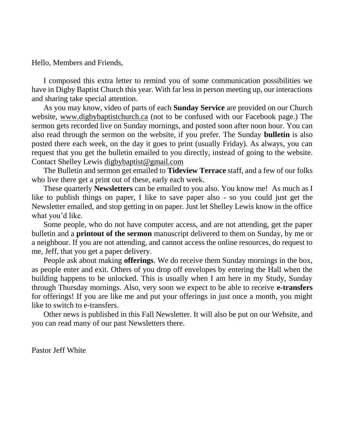Hello, Members and Friends,

I composed this extra letter to remind you of some communication possibilities we have in Digby Baptist Church this year. With far less in person meeting up, our interactions and sharing take special attention.

As you may know, video of parts of each **Sunday Service** are provided on our Church website, [www.digbybaptistchurch.ca](http://www.digbybaptistchurch.ca/) (not to be confused with our Facebook page.) The sermon gets recorded live on Sunday mornings, and posted soon after noon hour. You can also read through the sermon on the website, if you prefer. The Sunday **bulletin** is also posted there each week, on the day it goes to print (usually Friday). As always, you can request that you get the bulletin emailed to you directly, instead of going to the website. Contact Shelley Lewis [digbybaptist@gmail.com](mailto:digbybaptist@gmail.com)

The Bulletin and sermon get emailed to **Tideview Terrace** staff, and a few of our folks who live there get a print out of these, early each week.

These quarterly **Newsletters** can be emailed to you also. You know me! As much as I like to publish things on paper, I like to save paper also - so you could just get the Newsletter emailed, and stop getting in on paper. Just let Shelley Lewis know in the office what you'd like.

Some people, who do not have computer access, and are not attending, get the paper bulletin and a **printout of the sermon** manuscript delivered to them on Sunday, by me or a neighbour. If you are not attending, and cannot access the online resources, do request to me, Jeff, that you get a paper delivery.

People ask about making **offerings**. We do receive them Sunday mornings in the box, as people enter and exit. Others of you drop off envelopes by entering the Hall when the building happens to be unlocked. This is usually when I am here in my Study, Sunday through Thursday mornings. Also, very soon we expect to be able to receive **e-transfers**  for offerings! If you are like me and put your offerings in just once a month, you might like to switch to e-transfers.

Other news is published in this Fall Newsletter. It will also be put on our Website, and you can read many of our past Newsletters there.

Pastor Jeff White